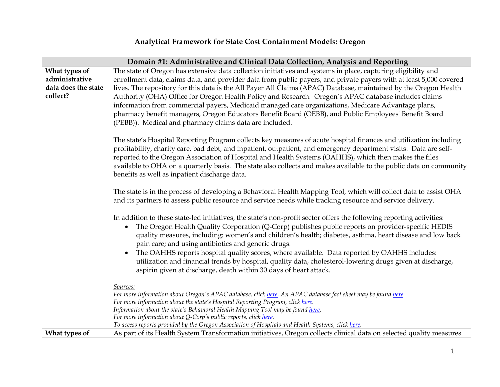| Domain #1: Administrative and Clinical Data Collection, Analysis and Reporting |                                                                                                                                                                      |  |
|--------------------------------------------------------------------------------|----------------------------------------------------------------------------------------------------------------------------------------------------------------------|--|
| What types of                                                                  | The state of Oregon has extensive data collection initiatives and systems in place, capturing eligibility and                                                        |  |
| administrative                                                                 | enrollment data, claims data, and provider data from public payers, and private payers with at least 5,000 covered                                                   |  |
| data does the state                                                            | lives. The repository for this data is the All Payer All Claims (APAC) Database, maintained by the Oregon Health                                                     |  |
| collect?                                                                       | Authority (OHA) Office for Oregon Health Policy and Research. Oregon's APAC database includes claims                                                                 |  |
|                                                                                | information from commercial payers, Medicaid managed care organizations, Medicare Advantage plans,                                                                   |  |
|                                                                                | pharmacy benefit managers, Oregon Educators Benefit Board (OEBB), and Public Employees' Benefit Board                                                                |  |
|                                                                                | (PEBB)). Medical and pharmacy claims data are included.                                                                                                              |  |
|                                                                                |                                                                                                                                                                      |  |
|                                                                                | The state's Hospital Reporting Program collects key measures of acute hospital finances and utilization including                                                    |  |
|                                                                                | profitability, charity care, bad debt, and inpatient, outpatient, and emergency department visits. Data are self-                                                    |  |
|                                                                                | reported to the Oregon Association of Hospital and Health Systems (OAHHS), which then makes the files                                                                |  |
|                                                                                | available to OHA on a quarterly basis. The state also collects and makes available to the public data on community                                                   |  |
| benefits as well as inpatient discharge data.                                  |                                                                                                                                                                      |  |
|                                                                                |                                                                                                                                                                      |  |
|                                                                                | The state is in the process of developing a Behavioral Health Mapping Tool, which will collect data to assist OHA                                                    |  |
|                                                                                | and its partners to assess public resource and service needs while tracking resource and service delivery.                                                           |  |
|                                                                                | In addition to these state-led initiatives, the state's non-profit sector offers the following reporting activities:                                                 |  |
|                                                                                | The Oregon Health Quality Corporation (Q-Corp) publishes public reports on provider-specific HEDIS<br>$\bullet$                                                      |  |
|                                                                                | quality measures, including: women's and children's health; diabetes, asthma, heart disease and low back                                                             |  |
|                                                                                | pain care; and using antibiotics and generic drugs.                                                                                                                  |  |
|                                                                                | The OAHHS reports hospital quality scores, where available. Data reported by OAHHS includes:<br>$\bullet$                                                            |  |
|                                                                                | utilization and financial trends by hospital, quality data, cholesterol-lowering drugs given at discharge,                                                           |  |
|                                                                                | aspirin given at discharge, death within 30 days of heart attack.                                                                                                    |  |
|                                                                                |                                                                                                                                                                      |  |
|                                                                                | Sources:                                                                                                                                                             |  |
|                                                                                | For more information about Oregon's APAC database, click here. An APAC database fact sheet may be found here.                                                        |  |
|                                                                                | For more information about the state's Hospital Reporting Program, click here.                                                                                       |  |
|                                                                                | Information about the state's Behavioral Health Mapping Tool may be found here.                                                                                      |  |
|                                                                                | For more information about Q-Corp's public reports, click here.<br>To access reports provided by the Oregon Association of Hospitals and Health Systems, click here. |  |
| What types of                                                                  | As part of its Health System Transformation initiatives, Oregon collects clinical data on selected quality measures                                                  |  |
|                                                                                |                                                                                                                                                                      |  |

## **Analytical Framework for State Cost Containment Models: Oregon**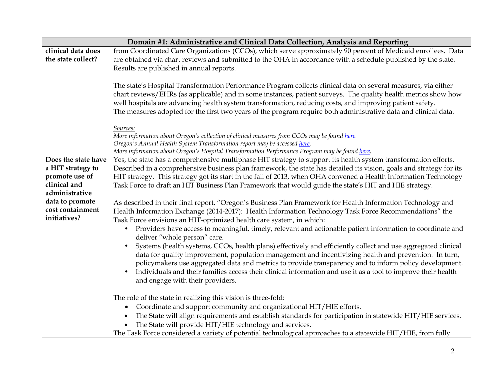| Domain #1: Administrative and Clinical Data Collection, Analysis and Reporting |                                                                                                                                                                                                                                                                                                                                                                                                                                                                 |  |
|--------------------------------------------------------------------------------|-----------------------------------------------------------------------------------------------------------------------------------------------------------------------------------------------------------------------------------------------------------------------------------------------------------------------------------------------------------------------------------------------------------------------------------------------------------------|--|
| clinical data does                                                             | from Coordinated Care Organizations (CCOs), which serve approximately 90 percent of Medicaid enrollees. Data                                                                                                                                                                                                                                                                                                                                                    |  |
| the state collect?                                                             | are obtained via chart reviews and submitted to the OHA in accordance with a schedule published by the state.                                                                                                                                                                                                                                                                                                                                                   |  |
|                                                                                | Results are published in annual reports.                                                                                                                                                                                                                                                                                                                                                                                                                        |  |
|                                                                                | The state's Hospital Transformation Performance Program collects clinical data on several measures, via either<br>chart reviews/EHRs (as applicable) and in some instances, patient surveys. The quality health metrics show how<br>well hospitals are advancing health system transformation, reducing costs, and improving patient safety.<br>The measures adopted for the first two years of the program require both administrative data and clinical data. |  |
|                                                                                | Sources:                                                                                                                                                                                                                                                                                                                                                                                                                                                        |  |
|                                                                                | More information about Oregon's collection of clinical measures from CCOs may be found here.                                                                                                                                                                                                                                                                                                                                                                    |  |
|                                                                                | Oregon's Annual Health System Transformation report may be accessed here.                                                                                                                                                                                                                                                                                                                                                                                       |  |
| Does the state have                                                            | More information about Oregon's Hospital Transformation Performance Program may be found here.                                                                                                                                                                                                                                                                                                                                                                  |  |
| a HIT strategy to                                                              | Yes, the state has a comprehensive multiphase HIT strategy to support its health system transformation efforts.                                                                                                                                                                                                                                                                                                                                                 |  |
| promote use of                                                                 | Described in a comprehensive business plan framework, the state has detailed its vision, goals and strategy for its                                                                                                                                                                                                                                                                                                                                             |  |
| clinical and                                                                   | HIT strategy. This strategy got its start in the fall of 2013, when OHA convened a Health Information Technology                                                                                                                                                                                                                                                                                                                                                |  |
| administrative                                                                 | Task Force to draft an HIT Business Plan Framework that would guide the state's HIT and HIE strategy.                                                                                                                                                                                                                                                                                                                                                           |  |
| data to promote                                                                | As described in their final report, "Oregon's Business Plan Framework for Health Information Technology and                                                                                                                                                                                                                                                                                                                                                     |  |
| cost containment                                                               | Health Information Exchange (2014-2017): Health Information Technology Task Force Recommendations" the                                                                                                                                                                                                                                                                                                                                                          |  |
| initiatives?                                                                   | Task Force envisions an HIT-optimized health care system, in which:                                                                                                                                                                                                                                                                                                                                                                                             |  |
|                                                                                | Providers have access to meaningful, timely, relevant and actionable patient information to coordinate and<br>$\bullet$                                                                                                                                                                                                                                                                                                                                         |  |
|                                                                                | deliver "whole person" care.                                                                                                                                                                                                                                                                                                                                                                                                                                    |  |
|                                                                                | Systems (health systems, CCOs, health plans) effectively and efficiently collect and use aggregated clinical                                                                                                                                                                                                                                                                                                                                                    |  |
|                                                                                | data for quality improvement, population management and incentivizing health and prevention. In turn,                                                                                                                                                                                                                                                                                                                                                           |  |
|                                                                                | policymakers use aggregated data and metrics to provide transparency and to inform policy development.                                                                                                                                                                                                                                                                                                                                                          |  |
|                                                                                | Individuals and their families access their clinical information and use it as a tool to improve their health                                                                                                                                                                                                                                                                                                                                                   |  |
|                                                                                | and engage with their providers.                                                                                                                                                                                                                                                                                                                                                                                                                                |  |
|                                                                                |                                                                                                                                                                                                                                                                                                                                                                                                                                                                 |  |
|                                                                                | The role of the state in realizing this vision is three-fold:                                                                                                                                                                                                                                                                                                                                                                                                   |  |
|                                                                                | Coordinate and support community and organizational HIT/HIE efforts.<br>$\bullet$                                                                                                                                                                                                                                                                                                                                                                               |  |
|                                                                                | The State will align requirements and establish standards for participation in statewide HIT/HIE services.                                                                                                                                                                                                                                                                                                                                                      |  |
|                                                                                | The State will provide HIT/HIE technology and services.                                                                                                                                                                                                                                                                                                                                                                                                         |  |
|                                                                                | The Task Force considered a variety of potential technological approaches to a statewide HIT/HIE, from fully                                                                                                                                                                                                                                                                                                                                                    |  |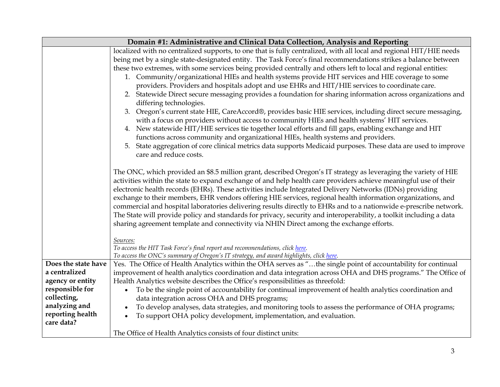| Domain #1: Administrative and Clinical Data Collection, Analysis and Reporting                                                                                                                                                                                                                                                                                                                                                                                                                                                                                                                                                                                                                                                                                                                                                                                                                                                                                                                                                                                                                                                                                                                                                                                                                                                                                                                                                                                                                                                                                                                                                                                                                                                                                                                                                                                |                                                                                                                                                                                                                                                                                                           |  |
|---------------------------------------------------------------------------------------------------------------------------------------------------------------------------------------------------------------------------------------------------------------------------------------------------------------------------------------------------------------------------------------------------------------------------------------------------------------------------------------------------------------------------------------------------------------------------------------------------------------------------------------------------------------------------------------------------------------------------------------------------------------------------------------------------------------------------------------------------------------------------------------------------------------------------------------------------------------------------------------------------------------------------------------------------------------------------------------------------------------------------------------------------------------------------------------------------------------------------------------------------------------------------------------------------------------------------------------------------------------------------------------------------------------------------------------------------------------------------------------------------------------------------------------------------------------------------------------------------------------------------------------------------------------------------------------------------------------------------------------------------------------------------------------------------------------------------------------------------------------|-----------------------------------------------------------------------------------------------------------------------------------------------------------------------------------------------------------------------------------------------------------------------------------------------------------|--|
| localized with no centralized supports, to one that is fully centralized, with all local and regional HIT/HIE needs<br>being met by a single state-designated entity. The Task Force's final recommendations strikes a balance between<br>these two extremes, with some services being provided centrally and others left to local and regional entities:<br>1. Community/organizational HIEs and health systems provide HIT services and HIE coverage to some<br>providers. Providers and hospitals adopt and use EHRs and HIT/HIE services to coordinate care.<br>2. Statewide Direct secure messaging provides a foundation for sharing information across organizations and<br>differing technologies.<br>3. Oregon's current state HIE, CareAccord®, provides basic HIE services, including direct secure messaging,<br>with a focus on providers without access to community HIEs and health systems' HIT services.<br>4. New statewide HIT/HIE services tie together local efforts and fill gaps, enabling exchange and HIT<br>functions across community and organizational HIEs, health systems and providers.<br>State aggregation of core clinical metrics data supports Medicaid purposes. These data are used to improve<br>5.<br>care and reduce costs.<br>The ONC, which provided an \$8.5 million grant, described Oregon's IT strategy as leveraging the variety of HIE<br>activities within the state to expand exchange of and help health care providers achieve meaningful use of their<br>electronic health records (EHRs). These activities include Integrated Delivery Networks (IDNs) providing<br>exchange to their members, EHR vendors offering HIE services, regional health information organizations, and<br>commercial and hospital laboratories delivering results directly to EHRs and to a nationwide e-prescribe network. |                                                                                                                                                                                                                                                                                                           |  |
|                                                                                                                                                                                                                                                                                                                                                                                                                                                                                                                                                                                                                                                                                                                                                                                                                                                                                                                                                                                                                                                                                                                                                                                                                                                                                                                                                                                                                                                                                                                                                                                                                                                                                                                                                                                                                                                               | The State will provide policy and standards for privacy, security and interoperability, a toolkit including a data<br>sharing agreement template and connectivity via NHIN Direct among the exchange efforts.<br>Sources:<br>To access the HIT Task Force's final report and recommendations, click here. |  |
|                                                                                                                                                                                                                                                                                                                                                                                                                                                                                                                                                                                                                                                                                                                                                                                                                                                                                                                                                                                                                                                                                                                                                                                                                                                                                                                                                                                                                                                                                                                                                                                                                                                                                                                                                                                                                                                               | To access the ONC's summary of Oregon's IT strategy, and award highlights, click here.                                                                                                                                                                                                                    |  |
| Does the state have<br>a centralized                                                                                                                                                                                                                                                                                                                                                                                                                                                                                                                                                                                                                                                                                                                                                                                                                                                                                                                                                                                                                                                                                                                                                                                                                                                                                                                                                                                                                                                                                                                                                                                                                                                                                                                                                                                                                          | Yes. The Office of Health Analytics within the OHA serves as "the single point of accountability for continual                                                                                                                                                                                            |  |
| agency or entity                                                                                                                                                                                                                                                                                                                                                                                                                                                                                                                                                                                                                                                                                                                                                                                                                                                                                                                                                                                                                                                                                                                                                                                                                                                                                                                                                                                                                                                                                                                                                                                                                                                                                                                                                                                                                                              | improvement of health analytics coordination and data integration across OHA and DHS programs." The Office of<br>Health Analytics website describes the Office's responsibilities as threefold:                                                                                                           |  |
| responsible for                                                                                                                                                                                                                                                                                                                                                                                                                                                                                                                                                                                                                                                                                                                                                                                                                                                                                                                                                                                                                                                                                                                                                                                                                                                                                                                                                                                                                                                                                                                                                                                                                                                                                                                                                                                                                                               | To be the single point of accountability for continual improvement of health analytics coordination and<br>$\bullet$                                                                                                                                                                                      |  |
| collecting,                                                                                                                                                                                                                                                                                                                                                                                                                                                                                                                                                                                                                                                                                                                                                                                                                                                                                                                                                                                                                                                                                                                                                                                                                                                                                                                                                                                                                                                                                                                                                                                                                                                                                                                                                                                                                                                   | data integration across OHA and DHS programs;                                                                                                                                                                                                                                                             |  |
| analyzing and                                                                                                                                                                                                                                                                                                                                                                                                                                                                                                                                                                                                                                                                                                                                                                                                                                                                                                                                                                                                                                                                                                                                                                                                                                                                                                                                                                                                                                                                                                                                                                                                                                                                                                                                                                                                                                                 | To develop analyses, data strategies, and monitoring tools to assess the performance of OHA programs;                                                                                                                                                                                                     |  |
| reporting health<br>care data?                                                                                                                                                                                                                                                                                                                                                                                                                                                                                                                                                                                                                                                                                                                                                                                                                                                                                                                                                                                                                                                                                                                                                                                                                                                                                                                                                                                                                                                                                                                                                                                                                                                                                                                                                                                                                                | To support OHA policy development, implementation, and evaluation.<br>$\bullet$                                                                                                                                                                                                                           |  |
|                                                                                                                                                                                                                                                                                                                                                                                                                                                                                                                                                                                                                                                                                                                                                                                                                                                                                                                                                                                                                                                                                                                                                                                                                                                                                                                                                                                                                                                                                                                                                                                                                                                                                                                                                                                                                                                               | The Office of Health Analytics consists of four distinct units:                                                                                                                                                                                                                                           |  |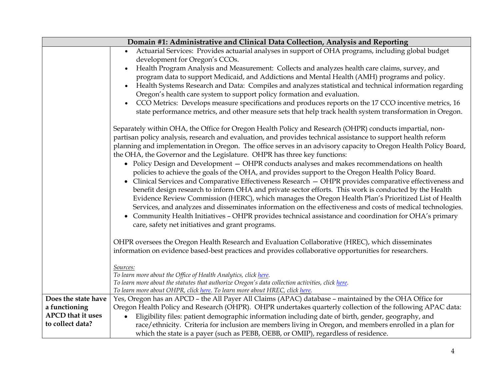| Domain #1: Administrative and Clinical Data Collection, Analysis and Reporting |                                                                                                                                                                                                                                                                                                                                                                                                                                                                                                                                                                                                                                                                                                                                                                                                                                                                                                                                                                                                                                                                                                                                                                                                                                                  |  |
|--------------------------------------------------------------------------------|--------------------------------------------------------------------------------------------------------------------------------------------------------------------------------------------------------------------------------------------------------------------------------------------------------------------------------------------------------------------------------------------------------------------------------------------------------------------------------------------------------------------------------------------------------------------------------------------------------------------------------------------------------------------------------------------------------------------------------------------------------------------------------------------------------------------------------------------------------------------------------------------------------------------------------------------------------------------------------------------------------------------------------------------------------------------------------------------------------------------------------------------------------------------------------------------------------------------------------------------------|--|
|                                                                                | Actuarial Services: Provides actuarial analyses in support of OHA programs, including global budget<br>development for Oregon's CCOs.<br>Health Program Analysis and Measurement: Collects and analyzes health care claims, survey, and<br>$\bullet$<br>program data to support Medicaid, and Addictions and Mental Health (AMH) programs and policy.<br>Health Systems Research and Data: Compiles and analyzes statistical and technical information regarding<br>$\bullet$                                                                                                                                                                                                                                                                                                                                                                                                                                                                                                                                                                                                                                                                                                                                                                    |  |
|                                                                                | Oregon's health care system to support policy formation and evaluation.<br>CCO Metrics: Develops measure specifications and produces reports on the 17 CCO incentive metrics, 16<br>$\bullet$<br>state performance metrics, and other measure sets that help track health system transformation in Oregon.                                                                                                                                                                                                                                                                                                                                                                                                                                                                                                                                                                                                                                                                                                                                                                                                                                                                                                                                       |  |
|                                                                                | Separately within OHA, the Office for Oregon Health Policy and Research (OHPR) conducts impartial, non-<br>partisan policy analysis, research and evaluation, and provides technical assistance to support health reform<br>planning and implementation in Oregon. The office serves in an advisory capacity to Oregon Health Policy Board,<br>the OHA, the Governor and the Legislature. OHPR has three key functions:<br>• Policy Design and Development - OHPR conducts analyses and makes recommendations on health<br>policies to achieve the goals of the OHA, and provides support to the Oregon Health Policy Board.<br>Clinical Services and Comparative Effectiveness Research - OHPR provides comparative effectiveness and<br>$\bullet$<br>benefit design research to inform OHA and private sector efforts. This work is conducted by the Health<br>Evidence Review Commission (HERC), which manages the Oregon Health Plan's Prioritized List of Health<br>Services, and analyzes and disseminates information on the effectiveness and costs of medical technologies.<br>Community Health Initiatives - OHPR provides technical assistance and coordination for OHA's primary<br>care, safety net initiatives and grant programs. |  |
|                                                                                | OHPR oversees the Oregon Health Research and Evaluation Collaborative (HREC), which disseminates<br>information on evidence based-best practices and provides collaborative opportunities for researchers.<br>Sources:<br>To learn more about the Office of Health Analytics, click here.                                                                                                                                                                                                                                                                                                                                                                                                                                                                                                                                                                                                                                                                                                                                                                                                                                                                                                                                                        |  |
|                                                                                | To learn more about the statutes that authorize Oregon's data collection activities, click here.<br>To learn more about OHPR, click here. To learn more about HREC, click here.                                                                                                                                                                                                                                                                                                                                                                                                                                                                                                                                                                                                                                                                                                                                                                                                                                                                                                                                                                                                                                                                  |  |
| Does the state have<br>a functioning                                           | Yes, Oregon has an APCD - the All Payer All Claims (APAC) database - maintained by the OHA Office for<br>Oregon Health Policy and Research (OHPR). OHPR undertakes quarterly collection of the following APAC data:                                                                                                                                                                                                                                                                                                                                                                                                                                                                                                                                                                                                                                                                                                                                                                                                                                                                                                                                                                                                                              |  |
| <b>APCD</b> that it uses<br>to collect data?                                   | Eligibility files: patient demographic information including date of birth, gender, geography, and<br>$\bullet$<br>race/ethnicity. Criteria for inclusion are members living in Oregon, and members enrolled in a plan for<br>which the state is a payer (such as PEBB, OEBB, or OMIP), regardless of residence.                                                                                                                                                                                                                                                                                                                                                                                                                                                                                                                                                                                                                                                                                                                                                                                                                                                                                                                                 |  |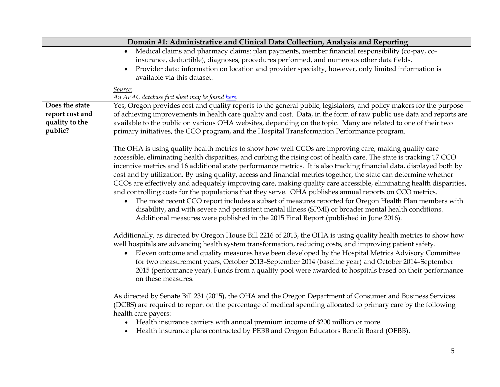|                 | Domain #1: Administrative and Clinical Data Collection, Analysis and Reporting                                       |  |
|-----------------|----------------------------------------------------------------------------------------------------------------------|--|
|                 | Medical claims and pharmacy claims: plan payments, member financial responsibility (co-pay, co-                      |  |
|                 | insurance, deductible), diagnoses, procedures performed, and numerous other data fields.                             |  |
|                 | Provider data: information on location and provider specialty, however, only limited information is<br>$\bullet$     |  |
|                 | available via this dataset.                                                                                          |  |
|                 | Source:                                                                                                              |  |
|                 | An APAC database fact sheet may be found here.                                                                       |  |
| Does the state  | Yes, Oregon provides cost and quality reports to the general public, legislators, and policy makers for the purpose  |  |
| report cost and | of achieving improvements in health care quality and cost. Data, in the form of raw public use data and reports are  |  |
| quality to the  | available to the public on various OHA websites, depending on the topic. Many are related to one of their two        |  |
| public?         | primary initiatives, the CCO program, and the Hospital Transformation Performance program.                           |  |
|                 |                                                                                                                      |  |
|                 | The OHA is using quality health metrics to show how well CCOs are improving care, making quality care                |  |
|                 | accessible, eliminating health disparities, and curbing the rising cost of health care. The state is tracking 17 CCO |  |
|                 | incentive metrics and 16 additional state performance metrics. It is also tracking financial data, displayed both by |  |
|                 | cost and by utilization. By using quality, access and financial metrics together, the state can determine whether    |  |
|                 | CCOs are effectively and adequately improving care, making quality care accessible, eliminating health disparities,  |  |
|                 | and controlling costs for the populations that they serve. OHA publishes annual reports on CCO metrics.              |  |
|                 | The most recent CCO report includes a subset of measures reported for Oregon Health Plan members with<br>$\bullet$   |  |
|                 | disability, and with severe and persistent mental illness (SPMI) or broader mental health conditions.                |  |
|                 | Additional measures were published in the 2015 Final Report (published in June 2016).                                |  |
|                 |                                                                                                                      |  |
|                 | Additionally, as directed by Oregon House Bill 2216 of 2013, the OHA is using quality health metrics to show how     |  |
|                 | well hospitals are advancing health system transformation, reducing costs, and improving patient safety.             |  |
|                 | Eleven outcome and quality measures have been developed by the Hospital Metrics Advisory Committee<br>$\bullet$      |  |
|                 | for two measurement years, October 2013-September 2014 (baseline year) and October 2014-September                    |  |
|                 | 2015 (performance year). Funds from a quality pool were awarded to hospitals based on their performance              |  |
|                 | on these measures.                                                                                                   |  |
|                 |                                                                                                                      |  |
|                 | As directed by Senate Bill 231 (2015), the OHA and the Oregon Department of Consumer and Business Services           |  |
|                 | (DCBS) are required to report on the percentage of medical spending allocated to primary care by the following       |  |
|                 | health care payers:                                                                                                  |  |
|                 | Health insurance carriers with annual premium income of \$200 million or more.<br>$\bullet$                          |  |
|                 | Health insurance plans contracted by PEBB and Oregon Educators Benefit Board (OEBB).                                 |  |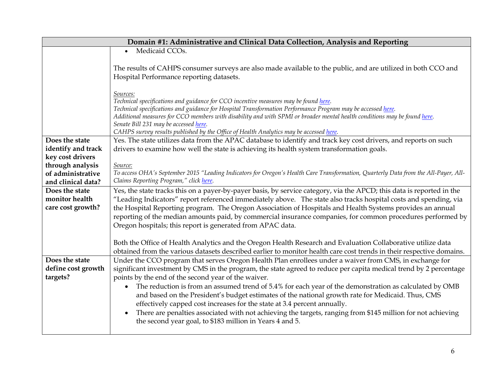|                    | Domain #1: Administrative and Clinical Data Collection, Analysis and Reporting                                                                                    |  |
|--------------------|-------------------------------------------------------------------------------------------------------------------------------------------------------------------|--|
|                    | Medicaid CCO <sub>s</sub> .<br>$\bullet$                                                                                                                          |  |
|                    |                                                                                                                                                                   |  |
|                    | The results of CAHPS consumer surveys are also made available to the public, and are utilized in both CCO and                                                     |  |
|                    | Hospital Performance reporting datasets.                                                                                                                          |  |
|                    |                                                                                                                                                                   |  |
|                    | Sources:                                                                                                                                                          |  |
|                    | Technical specifications and guidance for CCO incentive measures may be found here.                                                                               |  |
|                    | Technical specifications and guidance for Hospital Transformation Performance Program may be accessed here.                                                       |  |
|                    | Additional measures for CCO members with disability and with SPMI or broader mental health conditions may be found here.<br>Senate Bill 231 may be accessed here. |  |
|                    | CAHPS survey results published by the Office of Health Analytics may be accessed here.                                                                            |  |
| Does the state     | Yes. The state utilizes data from the APAC database to identify and track key cost drivers, and reports on such                                                   |  |
| identify and track | drivers to examine how well the state is achieving its health system transformation goals.                                                                        |  |
| key cost drivers   |                                                                                                                                                                   |  |
| through analysis   | Source:                                                                                                                                                           |  |
| of administrative  | To access OHA's September 2015 "Leading Indicators for Oregon's Health Care Transformation, Quarterly Data from the All-Payer, All-                               |  |
| and clinical data? | Claims Reporting Program," click here.                                                                                                                            |  |
| Does the state     | Yes, the state tracks this on a payer-by-payer basis, by service category, via the APCD; this data is reported in the                                             |  |
| monitor health     | "Leading Indicators" report referenced immediately above. The state also tracks hospital costs and spending, via                                                  |  |
| care cost growth?  | the Hospital Reporting program. The Oregon Association of Hospitals and Health Systems provides an annual                                                         |  |
|                    | reporting of the median amounts paid, by commercial insurance companies, for common procedures performed by                                                       |  |
|                    | Oregon hospitals; this report is generated from APAC data.                                                                                                        |  |
|                    |                                                                                                                                                                   |  |
|                    | Both the Office of Health Analytics and the Oregon Health Research and Evaluation Collaborative utilize data                                                      |  |
|                    | obtained from the various datasets described earlier to monitor health care cost trends in their respective domains.                                              |  |
| Does the state     | Under the CCO program that serves Oregon Health Plan enrollees under a waiver from CMS, in exchange for                                                           |  |
| define cost growth | significant investment by CMS in the program, the state agreed to reduce per capita medical trend by 2 percentage                                                 |  |
| targets?           | points by the end of the second year of the waiver.                                                                                                               |  |
|                    | The reduction is from an assumed trend of 5.4% for each year of the demonstration as calculated by OMB                                                            |  |
|                    | and based on the President's budget estimates of the national growth rate for Medicaid. Thus, CMS                                                                 |  |
|                    | effectively capped cost increases for the state at 3.4 percent annually.                                                                                          |  |
|                    | There are penalties associated with not achieving the targets, ranging from \$145 million for not achieving<br>$\bullet$                                          |  |
|                    | the second year goal, to \$183 million in Years 4 and 5.                                                                                                          |  |
|                    |                                                                                                                                                                   |  |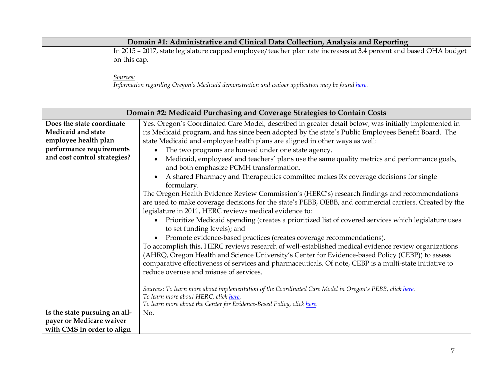| Domain #1: Administrative and Clinical Data Collection, Analysis and Reporting |                                                                                                                                   |
|--------------------------------------------------------------------------------|-----------------------------------------------------------------------------------------------------------------------------------|
|                                                                                | In 2015 – 2017, state legislature capped employee/teacher plan rate increases at 3.4 percent and based OHA budget<br>on this cap. |
|                                                                                | Sources:<br>Information regarding Oregon's Medicaid demonstration and waiver application may be found here.                       |

| Domain #2: Medicaid Purchasing and Coverage Strategies to Contain Costs                                                             |                                                                                                                                                                                                                                                                                                                                                                                                                                                                                                                                                                                                                                                                                                                                                                                                                                                                                                                                                                                                                                                                                                                                                                                                                                                                                                                                                                                                                                                                                                                                                                   |
|-------------------------------------------------------------------------------------------------------------------------------------|-------------------------------------------------------------------------------------------------------------------------------------------------------------------------------------------------------------------------------------------------------------------------------------------------------------------------------------------------------------------------------------------------------------------------------------------------------------------------------------------------------------------------------------------------------------------------------------------------------------------------------------------------------------------------------------------------------------------------------------------------------------------------------------------------------------------------------------------------------------------------------------------------------------------------------------------------------------------------------------------------------------------------------------------------------------------------------------------------------------------------------------------------------------------------------------------------------------------------------------------------------------------------------------------------------------------------------------------------------------------------------------------------------------------------------------------------------------------------------------------------------------------------------------------------------------------|
| Does the state coordinate<br>Medicaid and state<br>employee health plan<br>performance requirements<br>and cost control strategies? | Yes. Oregon's Coordinated Care Model, described in greater detail below, was initially implemented in<br>its Medicaid program, and has since been adopted by the state's Public Employees Benefit Board. The<br>state Medicaid and employee health plans are aligned in other ways as well:<br>The two programs are housed under one state agency.<br>Medicaid, employees' and teachers' plans use the same quality metrics and performance goals,<br>and both emphasize PCMH transformation.<br>A shared Pharmacy and Therapeutics committee makes Rx coverage decisions for single<br>formulary.<br>The Oregon Health Evidence Review Commission's (HERC's) research findings and recommendations<br>are used to make coverage decisions for the state's PEBB, OEBB, and commercial carriers. Created by the<br>legislature in 2011, HERC reviews medical evidence to:<br>Prioritize Medicaid spending (creates a prioritized list of covered services which legislature uses<br>to set funding levels); and<br>Promote evidence-based practices (creates coverage recommendations).<br>To accomplish this, HERC reviews research of well-established medical evidence review organizations<br>(AHRQ, Oregon Health and Science University's Center for Evidence-based Policy (CEBP)) to assess<br>comparative effectiveness of services and pharmaceuticals. Of note, CEBP is a multi-state initiative to<br>reduce overuse and misuse of services.<br>Sources: To learn more about implementation of the Coordinated Care Model in Oregon's PEBB, click here. |
|                                                                                                                                     | To learn more about HERC, click here.<br>To learn more about the Center for Evidence-Based Policy, click here.                                                                                                                                                                                                                                                                                                                                                                                                                                                                                                                                                                                                                                                                                                                                                                                                                                                                                                                                                                                                                                                                                                                                                                                                                                                                                                                                                                                                                                                    |
| Is the state pursuing an all-                                                                                                       | No.                                                                                                                                                                                                                                                                                                                                                                                                                                                                                                                                                                                                                                                                                                                                                                                                                                                                                                                                                                                                                                                                                                                                                                                                                                                                                                                                                                                                                                                                                                                                                               |
| payer or Medicare waiver                                                                                                            |                                                                                                                                                                                                                                                                                                                                                                                                                                                                                                                                                                                                                                                                                                                                                                                                                                                                                                                                                                                                                                                                                                                                                                                                                                                                                                                                                                                                                                                                                                                                                                   |
| with CMS in order to align                                                                                                          |                                                                                                                                                                                                                                                                                                                                                                                                                                                                                                                                                                                                                                                                                                                                                                                                                                                                                                                                                                                                                                                                                                                                                                                                                                                                                                                                                                                                                                                                                                                                                                   |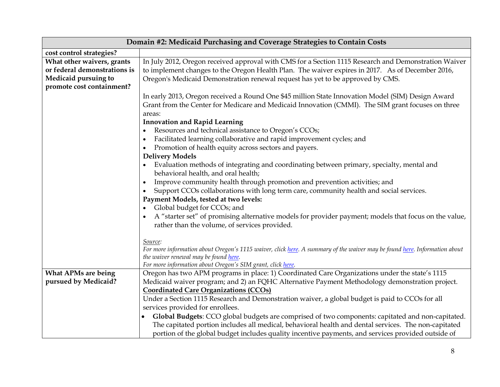| Domain #2: Medicaid Purchasing and Coverage Strategies to Contain Costs |                                                                                                                                                                                                                  |  |
|-------------------------------------------------------------------------|------------------------------------------------------------------------------------------------------------------------------------------------------------------------------------------------------------------|--|
| cost control strategies?                                                |                                                                                                                                                                                                                  |  |
| What other waivers, grants<br>or federal demonstrations is              | In July 2012, Oregon received approval with CMS for a Section 1115 Research and Demonstration Waiver<br>to implement changes to the Oregon Health Plan. The waiver expires in 2017. As of December 2016,         |  |
| Medicaid pursuing to                                                    | Oregon's Medicaid Demonstration renewal request has yet to be approved by CMS.                                                                                                                                   |  |
| promote cost containment?                                               |                                                                                                                                                                                                                  |  |
|                                                                         | In early 2013, Oregon received a Round One \$45 million State Innovation Model (SIM) Design Award<br>Grant from the Center for Medicare and Medicaid Innovation (CMMI). The SIM grant focuses on three<br>areas: |  |
|                                                                         | <b>Innovation and Rapid Learning</b>                                                                                                                                                                             |  |
|                                                                         | Resources and technical assistance to Oregon's CCOs;                                                                                                                                                             |  |
|                                                                         | Facilitated learning collaborative and rapid improvement cycles; and                                                                                                                                             |  |
|                                                                         | Promotion of health equity across sectors and payers.                                                                                                                                                            |  |
|                                                                         | <b>Delivery Models</b>                                                                                                                                                                                           |  |
|                                                                         | Evaluation methods of integrating and coordinating between primary, specialty, mental and<br>behavioral health, and oral health;                                                                                 |  |
|                                                                         | Improve community health through promotion and prevention activities; and<br>$\bullet$                                                                                                                           |  |
|                                                                         | Support CCOs collaborations with long term care, community health and social services.                                                                                                                           |  |
|                                                                         | Payment Models, tested at two levels:                                                                                                                                                                            |  |
|                                                                         | Global budget for CCOs; and                                                                                                                                                                                      |  |
|                                                                         | A "starter set" of promising alternative models for provider payment; models that focus on the value,<br>rather than the volume, of services provided.                                                           |  |
|                                                                         | Source:                                                                                                                                                                                                          |  |
|                                                                         | For more information about Oregon's 1115 waiver, click here. A summary of the waiver may be found here. Information about<br>the waiver renewal may be found here.                                               |  |
|                                                                         | For more information about Oregon's SIM grant, click here.                                                                                                                                                       |  |
| <b>What APMs are being</b>                                              | Oregon has two APM programs in place: 1) Coordinated Care Organizations under the state's 1115                                                                                                                   |  |
| pursued by Medicaid?                                                    | Medicaid waiver program; and 2) an FQHC Alternative Payment Methodology demonstration project.                                                                                                                   |  |
|                                                                         | <b>Coordinated Care Organizations (CCOs)</b>                                                                                                                                                                     |  |
|                                                                         | Under a Section 1115 Research and Demonstration waiver, a global budget is paid to CCOs for all                                                                                                                  |  |
|                                                                         | services provided for enrollees.                                                                                                                                                                                 |  |
|                                                                         | Global Budgets: CCO global budgets are comprised of two components: capitated and non-capitated.                                                                                                                 |  |
|                                                                         | The capitated portion includes all medical, behavioral health and dental services. The non-capitated                                                                                                             |  |
|                                                                         | portion of the global budget includes quality incentive payments, and services provided outside of                                                                                                               |  |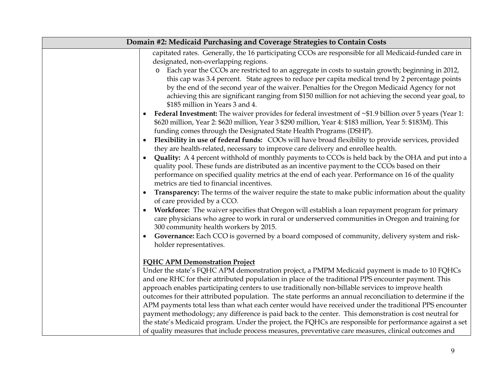| Domain #2: Medicaid Purchasing and Coverage Strategies to Contain Costs |                                                                                                                                                                                                                                                                                                                                                                                                                                                                                                                                                                                                                                                                                                                                                                                                                                                                                                          |
|-------------------------------------------------------------------------|----------------------------------------------------------------------------------------------------------------------------------------------------------------------------------------------------------------------------------------------------------------------------------------------------------------------------------------------------------------------------------------------------------------------------------------------------------------------------------------------------------------------------------------------------------------------------------------------------------------------------------------------------------------------------------------------------------------------------------------------------------------------------------------------------------------------------------------------------------------------------------------------------------|
|                                                                         | capitated rates. Generally, the 16 participating CCOs are responsible for all Medicaid-funded care in                                                                                                                                                                                                                                                                                                                                                                                                                                                                                                                                                                                                                                                                                                                                                                                                    |
|                                                                         | designated, non-overlapping regions.<br>Each year the CCOs are restricted to an aggregate in costs to sustain growth; beginning in 2012,<br>this cap was 3.4 percent. State agrees to reduce per capita medical trend by 2 percentage points<br>by the end of the second year of the waiver. Penalties for the Oregon Medicaid Agency for not<br>achieving this are significant ranging from \$150 million for not achieving the second year goal, to<br>\$185 million in Years 3 and 4.                                                                                                                                                                                                                                                                                                                                                                                                                 |
|                                                                         | <b>Federal Investment:</b> The waiver provides for federal investment of $~$ \$1.9 billion over 5 years (Year 1:<br>$\bullet$<br>\$620 million, Year 2: \$620 million, Year 3 \$290 million, Year 4: \$183 million, Year 5: \$183M). This<br>funding comes through the Designated State Health Programs (DSHP).                                                                                                                                                                                                                                                                                                                                                                                                                                                                                                                                                                                          |
|                                                                         | Flexibility in use of federal funds: COOs will have broad flexibility to provide services, provided<br>$\bullet$<br>they are health-related, necessary to improve care delivery and enrollee health.                                                                                                                                                                                                                                                                                                                                                                                                                                                                                                                                                                                                                                                                                                     |
|                                                                         | Quality: A 4 percent withhold of monthly payments to CCOs is held back by the OHA and put into a<br>quality pool. These funds are distributed as an incentive payment to the CCOs based on their<br>performance on specified quality metrics at the end of each year. Performance on 16 of the quality<br>metrics are tied to financial incentives.                                                                                                                                                                                                                                                                                                                                                                                                                                                                                                                                                      |
|                                                                         | Transparency: The terms of the waiver require the state to make public information about the quality<br>of care provided by a CCO.                                                                                                                                                                                                                                                                                                                                                                                                                                                                                                                                                                                                                                                                                                                                                                       |
|                                                                         | Workforce: The waiver specifies that Oregon will establish a loan repayment program for primary<br>$\bullet$<br>care physicians who agree to work in rural or underserved communities in Oregon and training for<br>300 community health workers by 2015.                                                                                                                                                                                                                                                                                                                                                                                                                                                                                                                                                                                                                                                |
|                                                                         | Governance: Each CCO is governed by a board composed of community, delivery system and risk-<br>$\bullet$<br>holder representatives.                                                                                                                                                                                                                                                                                                                                                                                                                                                                                                                                                                                                                                                                                                                                                                     |
|                                                                         | <b>FOHC APM Demonstration Project</b><br>Under the state's FQHC APM demonstration project, a PMPM Medicaid payment is made to 10 FQHCs<br>and one RHC for their attributed population in place of the traditional PPS encounter payment. This<br>approach enables participating centers to use traditionally non-billable services to improve health<br>outcomes for their attributed population. The state performs an annual reconciliation to determine if the<br>APM payments total less than what each center would have received under the traditional PPS encounter<br>payment methodology; any difference is paid back to the center. This demonstration is cost neutral for<br>the state's Medicaid program. Under the project, the FQHCs are responsible for performance against a set<br>of quality measures that include process measures, preventative care measures, clinical outcomes and |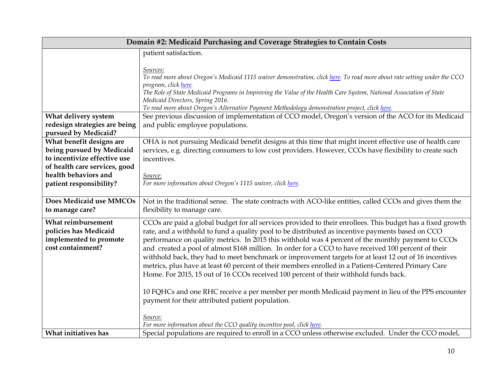| Domain #2: Medicaid Purchasing and Coverage Strategies to Contain Costs                    |                                                                                                                                                                                                                                                                                                                                                                                                                                                                                                                                                                                                                                                                                                                                      |
|--------------------------------------------------------------------------------------------|--------------------------------------------------------------------------------------------------------------------------------------------------------------------------------------------------------------------------------------------------------------------------------------------------------------------------------------------------------------------------------------------------------------------------------------------------------------------------------------------------------------------------------------------------------------------------------------------------------------------------------------------------------------------------------------------------------------------------------------|
|                                                                                            | patient satisfaction.                                                                                                                                                                                                                                                                                                                                                                                                                                                                                                                                                                                                                                                                                                                |
|                                                                                            | Sources:<br>To read more about Oregon's Medicaid 1115 waiver demonstration, click here. To read more about rate setting under the CCO<br>program, click <u>here</u> .<br>The Role of State Medicaid Programs in Improving the Value of the Health Care System, National Association of State<br>Medicaid Directors, Spring 2016.<br>To read more about Oregon's Alternative Payment Methodology demonstration project, click here.                                                                                                                                                                                                                                                                                                   |
| What delivery system                                                                       | See previous discussion of implementation of CCO model, Oregon's version of the ACO for its Medicaid                                                                                                                                                                                                                                                                                                                                                                                                                                                                                                                                                                                                                                 |
| redesign strategies are being                                                              | and public employee populations.                                                                                                                                                                                                                                                                                                                                                                                                                                                                                                                                                                                                                                                                                                     |
| pursued by Medicaid?                                                                       |                                                                                                                                                                                                                                                                                                                                                                                                                                                                                                                                                                                                                                                                                                                                      |
| What benefit designs are                                                                   | OHA is not pursuing Medicaid benefit designs at this time that might incent effective use of health care                                                                                                                                                                                                                                                                                                                                                                                                                                                                                                                                                                                                                             |
| being pursued by Medicaid<br>to incentivize effective use                                  | services, e.g. directing consumers to low cost providers. However, CCOs have flexibility to create such                                                                                                                                                                                                                                                                                                                                                                                                                                                                                                                                                                                                                              |
| of health care services, good                                                              | incentives.                                                                                                                                                                                                                                                                                                                                                                                                                                                                                                                                                                                                                                                                                                                          |
| health behaviors and                                                                       | Source:                                                                                                                                                                                                                                                                                                                                                                                                                                                                                                                                                                                                                                                                                                                              |
| patient responsibility?                                                                    | For more information about Oregon's 1115 waiver, click here.                                                                                                                                                                                                                                                                                                                                                                                                                                                                                                                                                                                                                                                                         |
|                                                                                            |                                                                                                                                                                                                                                                                                                                                                                                                                                                                                                                                                                                                                                                                                                                                      |
| Does Medicaid use MMCOs                                                                    | Not in the traditional sense. The state contracts with ACO-like entities, called CCOs and gives them the                                                                                                                                                                                                                                                                                                                                                                                                                                                                                                                                                                                                                             |
| to manage care?                                                                            | flexibility to manage care.                                                                                                                                                                                                                                                                                                                                                                                                                                                                                                                                                                                                                                                                                                          |
| What reimbursement<br>policies has Medicaid<br>implemented to promote<br>cost containment? | CCOs are paid a global budget for all services provided to their enrollees. This budget has a fixed growth<br>rate, and a withhold to fund a quality pool to be distributed as incentive payments based on CCO<br>performance on quality metrics. In 2015 this withhold was 4 percent of the monthly payment to CCOs<br>and created a pool of almost \$168 million. In order for a CCO to have received 100 percent of their<br>withhold back, they had to meet benchmark or improvement targets for at least 12 out of 16 incentives<br>metrics, plus have at least 60 percent of their members enrolled in a Patient-Centered Primary Care<br>Home. For 2015, 15 out of 16 CCOs received 100 percent of their withhold funds back. |
|                                                                                            | 10 FQHCs and one RHC receive a per member per month Medicaid payment in lieu of the PPS encounter<br>payment for their attributed patient population.                                                                                                                                                                                                                                                                                                                                                                                                                                                                                                                                                                                |
|                                                                                            | Source:<br>For more information about the CCO quality incentive pool, click here.                                                                                                                                                                                                                                                                                                                                                                                                                                                                                                                                                                                                                                                    |
| What initiatives has                                                                       | Special populations are required to enroll in a CCO unless otherwise excluded. Under the CCO model,                                                                                                                                                                                                                                                                                                                                                                                                                                                                                                                                                                                                                                  |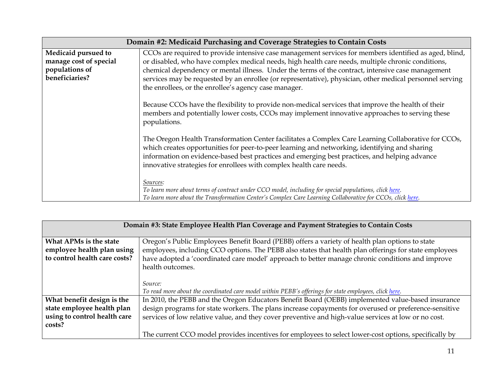|                                                                                   | Domain #2: Medicaid Purchasing and Coverage Strategies to Contain Costs                                                                                                                                                                                                                                                                                                                                                                                                               |
|-----------------------------------------------------------------------------------|---------------------------------------------------------------------------------------------------------------------------------------------------------------------------------------------------------------------------------------------------------------------------------------------------------------------------------------------------------------------------------------------------------------------------------------------------------------------------------------|
| Medicaid pursued to<br>manage cost of special<br>populations of<br>beneficiaries? | CCOs are required to provide intensive case management services for members identified as aged, blind,<br>or disabled, who have complex medical needs, high health care needs, multiple chronic conditions,<br>chemical dependency or mental illness. Under the terms of the contract, intensive case management<br>services may be requested by an enrollee (or representative), physician, other medical personnel serving<br>the enrollees, or the enrollee's agency case manager. |
|                                                                                   | Because CCOs have the flexibility to provide non-medical services that improve the health of their<br>members and potentially lower costs, CCOs may implement innovative approaches to serving these<br>populations.                                                                                                                                                                                                                                                                  |
|                                                                                   | The Oregon Health Transformation Center facilitates a Complex Care Learning Collaborative for CCOs,<br>which creates opportunities for peer-to-peer learning and networking, identifying and sharing<br>information on evidence-based best practices and emerging best practices, and helping advance<br>innovative strategies for enrollees with complex health care needs.                                                                                                          |
|                                                                                   | Sources:<br>To learn more about terms of contract under CCO model, including for special populations, click here.<br>To learn more about the Transformation Center's Complex Care Learning Collaborative for CCOs, click here.                                                                                                                                                                                                                                                        |

| Domain #3: State Employee Health Plan Coverage and Payment Strategies to Contain Costs |                                                                                                        |
|----------------------------------------------------------------------------------------|--------------------------------------------------------------------------------------------------------|
| What APMs is the state                                                                 | Oregon's Public Employees Benefit Board (PEBB) offers a variety of health plan options to state        |
| employee health plan using                                                             | employees, including CCO options. The PEBB also states that health plan offerings for state employees  |
| to control health care costs?                                                          | have adopted a 'coordinated care model' approach to better manage chronic conditions and improve       |
|                                                                                        | health outcomes.                                                                                       |
|                                                                                        |                                                                                                        |
|                                                                                        | Source:                                                                                                |
|                                                                                        | To read more about the coordinated care model within PEBB's offerings for state employees, click here. |
| What benefit design is the                                                             | In 2010, the PEBB and the Oregon Educators Benefit Board (OEBB) implemented value-based insurance      |
| state employee health plan                                                             | design programs for state workers. The plans increase copayments for overused or preference-sensitive  |
| using to control health care                                                           | services of low relative value, and they cover preventive and high-value services at low or no cost.   |
| costs?                                                                                 |                                                                                                        |
|                                                                                        | The current CCO model provides incentives for employees to select lower-cost options, specifically by  |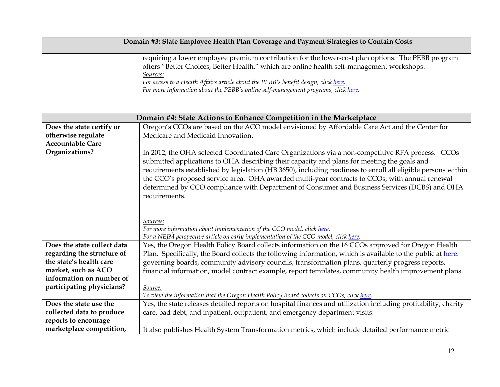| Domain #3: State Employee Health Plan Coverage and Payment Strategies to Contain Costs |                                                                                                                                                                                                                                                                                                                                                                                                 |
|----------------------------------------------------------------------------------------|-------------------------------------------------------------------------------------------------------------------------------------------------------------------------------------------------------------------------------------------------------------------------------------------------------------------------------------------------------------------------------------------------|
|                                                                                        | requiring a lower employee premium contribution for the lower-cost plan options. The PEBB program<br>offers "Better Choices, Better Health," which are online health self-management workshops.<br><u>Sources:</u><br>For access to a Health Affairs article about the PEBB's benefit design, click here.<br>For more information about the PEBB's online self-management programs, click here. |

| Domain #4: State Actions to Enhance Competition in the Marketplace |                                                                                                                                                                                                                                                                                                                                                                                                                                                                                                                                     |
|--------------------------------------------------------------------|-------------------------------------------------------------------------------------------------------------------------------------------------------------------------------------------------------------------------------------------------------------------------------------------------------------------------------------------------------------------------------------------------------------------------------------------------------------------------------------------------------------------------------------|
| Does the state certify or                                          | Oregon's CCOs are based on the ACO model envisioned by Affordable Care Act and the Center for                                                                                                                                                                                                                                                                                                                                                                                                                                       |
| otherwise regulate                                                 | Medicare and Medicaid Innovation.                                                                                                                                                                                                                                                                                                                                                                                                                                                                                                   |
| <b>Accountable Care</b>                                            |                                                                                                                                                                                                                                                                                                                                                                                                                                                                                                                                     |
| Organizations?                                                     | In 2012, the OHA selected Coordinated Care Organizations via a non-competitive RFA process. CCOs<br>submitted applications to OHA describing their capacity and plans for meeting the goals and<br>requirements established by legislation (HB 3650), including readiness to enroll all eligible persons within<br>the CCO's proposed service area. OHA awarded multi-year contracts to CCOs, with annual renewal<br>determined by CCO compliance with Department of Consumer and Business Services (DCBS) and OHA<br>requirements. |
|                                                                    | Sources:                                                                                                                                                                                                                                                                                                                                                                                                                                                                                                                            |
|                                                                    | For more information about implementation of the CCO model, click here.                                                                                                                                                                                                                                                                                                                                                                                                                                                             |
|                                                                    | For a NEJM perspective article on early implementation of the CCO model, click here.                                                                                                                                                                                                                                                                                                                                                                                                                                                |
| Does the state collect data                                        | Yes, the Oregon Health Policy Board collects information on the 16 CCOs approved for Oregon Health                                                                                                                                                                                                                                                                                                                                                                                                                                  |
| regarding the structure of                                         | Plan. Specifically, the Board collects the following information, which is available to the public at here:                                                                                                                                                                                                                                                                                                                                                                                                                         |
| the state's health care                                            | governing boards, community advisory councils, transformation plans, quarterly progress reports,                                                                                                                                                                                                                                                                                                                                                                                                                                    |
| market, such as ACO                                                | financial information, model contract example, report templates, community health improvement plans.                                                                                                                                                                                                                                                                                                                                                                                                                                |
| information on number of                                           |                                                                                                                                                                                                                                                                                                                                                                                                                                                                                                                                     |
| participating physicians?                                          | Source:                                                                                                                                                                                                                                                                                                                                                                                                                                                                                                                             |
|                                                                    | To view the information that the Oregon Health Policy Board collects on CCOs, click here.                                                                                                                                                                                                                                                                                                                                                                                                                                           |
| Does the state use the                                             | Yes, the state releases detailed reports on hospital finances and utilization including profitability, charity                                                                                                                                                                                                                                                                                                                                                                                                                      |
| collected data to produce                                          | care, bad debt, and inpatient, outpatient, and emergency department visits.                                                                                                                                                                                                                                                                                                                                                                                                                                                         |
| reports to encourage                                               |                                                                                                                                                                                                                                                                                                                                                                                                                                                                                                                                     |
| marketplace competition,                                           | It also publishes Health System Transformation metrics, which include detailed performance metric                                                                                                                                                                                                                                                                                                                                                                                                                                   |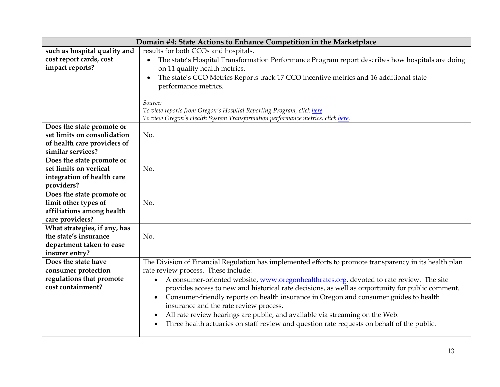| Domain #4: State Actions to Enhance Competition in the Marketplace |                                                                                                               |
|--------------------------------------------------------------------|---------------------------------------------------------------------------------------------------------------|
| such as hospital quality and                                       | results for both CCOs and hospitals.                                                                          |
| cost report cards, cost                                            | The state's Hospital Transformation Performance Program report describes how hospitals are doing<br>$\bullet$ |
| impact reports?                                                    | on 11 quality health metrics.                                                                                 |
|                                                                    | The state's CCO Metrics Reports track 17 CCO incentive metrics and 16 additional state<br>$\bullet$           |
|                                                                    | performance metrics.                                                                                          |
|                                                                    |                                                                                                               |
|                                                                    | Source:                                                                                                       |
|                                                                    | To view reports from Oregon's Hospital Reporting Program, click here.                                         |
|                                                                    | To view Oregon's Health System Transformation performance metrics, click here.                                |
| Does the state promote or                                          |                                                                                                               |
| set limits on consolidation                                        | No.                                                                                                           |
| of health care providers of                                        |                                                                                                               |
| similar services?                                                  |                                                                                                               |
| Does the state promote or                                          |                                                                                                               |
| set limits on vertical                                             | No.                                                                                                           |
| integration of health care                                         |                                                                                                               |
| providers?                                                         |                                                                                                               |
| Does the state promote or                                          |                                                                                                               |
| limit other types of                                               | No.                                                                                                           |
| affiliations among health                                          |                                                                                                               |
| care providers?                                                    |                                                                                                               |
| What strategies, if any, has                                       |                                                                                                               |
| the state's insurance                                              | No.                                                                                                           |
| department taken to ease                                           |                                                                                                               |
| insurer entry?                                                     |                                                                                                               |
| Does the state have                                                | The Division of Financial Regulation has implemented efforts to promote transparency in its health plan       |
| consumer protection                                                | rate review process. These include:                                                                           |
| regulations that promote<br>cost containment?                      | A consumer-oriented website, www.oregonhealthrates.org, devoted to rate review. The site<br>$\bullet$         |
|                                                                    | provides access to new and historical rate decisions, as well as opportunity for public comment.              |
|                                                                    | Consumer-friendly reports on health insurance in Oregon and consumer guides to health<br>$\bullet$            |
|                                                                    | insurance and the rate review process.                                                                        |
|                                                                    | All rate review hearings are public, and available via streaming on the Web.<br>$\bullet$                     |
|                                                                    | Three health actuaries on staff review and question rate requests on behalf of the public.                    |
|                                                                    |                                                                                                               |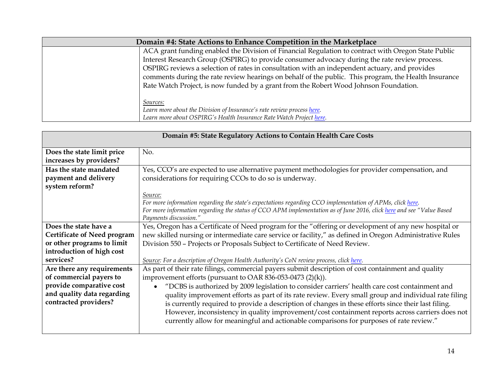| Domain #4: State Actions to Enhance Competition in the Marketplace |                                                                                                      |
|--------------------------------------------------------------------|------------------------------------------------------------------------------------------------------|
|                                                                    | ACA grant funding enabled the Division of Financial Regulation to contract with Oregon State Public  |
|                                                                    | Interest Research Group (OSPIRG) to provide consumer advocacy during the rate review process.        |
|                                                                    | OSPIRG reviews a selection of rates in consultation with an independent actuary, and provides        |
|                                                                    | comments during the rate review hearings on behalf of the public. This program, the Health Insurance |
|                                                                    | Rate Watch Project, is now funded by a grant from the Robert Wood Johnson Foundation.                |
|                                                                    |                                                                                                      |
|                                                                    | Sources:                                                                                             |
|                                                                    | Learn more about the Division of Insurance's rate review process here.                               |
|                                                                    | Learn more about OSPIRG's Health Insurance Rate Watch Project here.                                  |

| Domain #5: State Regulatory Actions to Contain Health Care Costs                                                                                      |                                                                                                                                                                                                                                                                                                                                                                                                                                                                                                                                                                                                                                                                                                                                                                                         |
|-------------------------------------------------------------------------------------------------------------------------------------------------------|-----------------------------------------------------------------------------------------------------------------------------------------------------------------------------------------------------------------------------------------------------------------------------------------------------------------------------------------------------------------------------------------------------------------------------------------------------------------------------------------------------------------------------------------------------------------------------------------------------------------------------------------------------------------------------------------------------------------------------------------------------------------------------------------|
| Does the state limit price<br>increases by providers?                                                                                                 | No.                                                                                                                                                                                                                                                                                                                                                                                                                                                                                                                                                                                                                                                                                                                                                                                     |
| Has the state mandated<br>payment and delivery<br>system reform?                                                                                      | Yes, CCO's are expected to use alternative payment methodologies for provider compensation, and<br>considerations for requiring CCOs to do so is underway.                                                                                                                                                                                                                                                                                                                                                                                                                                                                                                                                                                                                                              |
|                                                                                                                                                       | Source:<br>For more information regarding the state's expectations regarding CCO implementation of APMs, click here.<br>For more information regarding the status of CCO APM implementation as of June 2016, click here and see "Value Based<br>Payments discussion."                                                                                                                                                                                                                                                                                                                                                                                                                                                                                                                   |
| Does the state have a<br><b>Certificate of Need program</b><br>or other programs to limit<br>introduction of high cost                                | Yes, Oregon has a Certificate of Need program for the "offering or development of any new hospital or<br>new skilled nursing or intermediate care service or facility," as defined in Oregon Administrative Rules<br>Division 550 - Projects or Proposals Subject to Certificate of Need Review.                                                                                                                                                                                                                                                                                                                                                                                                                                                                                        |
| services?<br>Are there any requirements<br>of commercial payers to<br>provide comparative cost<br>and quality data regarding<br>contracted providers? | Source: For a description of Oregon Health Authority's CoN review process, click here.<br>As part of their rate filings, commercial payers submit description of cost containment and quality<br>improvement efforts (pursuant to OAR 836-053-0473 (2)(k)).<br>"DCBS is authorized by 2009 legislation to consider carriers' health care cost containment and<br>$\bullet$<br>quality improvement efforts as part of its rate review. Every small group and individual rate filing<br>is currently required to provide a description of changes in these efforts since their last filing.<br>However, inconsistency in quality improvement/cost containment reports across carriers does not<br>currently allow for meaningful and actionable comparisons for purposes of rate review." |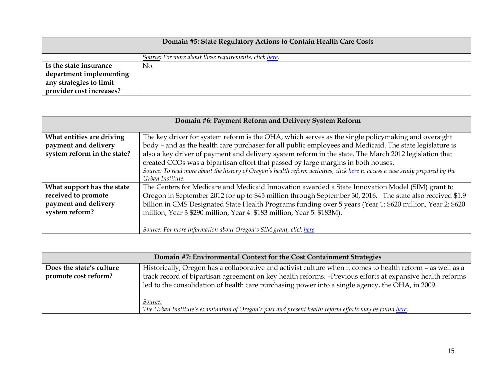| Domain #5: State Regulatory Actions to Contain Health Care Costs |                                                        |
|------------------------------------------------------------------|--------------------------------------------------------|
|                                                                  | Source: For more about these requirements, click here. |
| Is the state insurance                                           | No.                                                    |
| department implementing                                          |                                                        |
| any strategies to limit                                          |                                                        |
| provider cost increases?                                         |                                                        |

| Domain #6: Payment Reform and Delivery System Reform |                                                                                                                                |
|------------------------------------------------------|--------------------------------------------------------------------------------------------------------------------------------|
| What entities are driving                            | The key driver for system reform is the OHA, which serves as the single policymaking and oversight                             |
| payment and delivery                                 | body - and as the health care purchaser for all public employees and Medicaid. The state legislature is                        |
| system reform in the state?                          | also a key driver of payment and delivery system reform in the state. The March 2012 legislation that                          |
|                                                      | created CCOs was a bipartisan effort that passed by large margins in both houses.                                              |
|                                                      | Source: To read more about the history of Oregon's health reform activities, click here to access a case study prepared by the |
|                                                      | Urban Institute.                                                                                                               |
| What support has the state                           | The Centers for Medicare and Medicaid Innovation awarded a State Innovation Model (SIM) grant to                               |
| received to promote                                  | Oregon in September 2012 for up to \$45 million through September 30, 2016. The state also received \$1.9                      |
| payment and delivery                                 | billion in CMS Designated State Health Programs funding over 5 years (Year 1: \$620 million, Year 2: \$620                     |
| system reform?                                       | million, Year 3 \$290 million, Year 4: \$183 million, Year 5: \$183M).                                                         |
|                                                      |                                                                                                                                |
|                                                      | Source: For more information about Oregon's SIM grant, click here.                                                             |

| Domain #7: Environmental Context for the Cost Containment Strategies |                                                                                                             |
|----------------------------------------------------------------------|-------------------------------------------------------------------------------------------------------------|
| Does the state's culture                                             | Historically, Oregon has a collaborative and activist culture when it comes to health reform - as well as a |
| promote cost reform?                                                 | track record of bipartisan agreement on key health reforms. -Previous efforts at expansive health reforms   |
|                                                                      | led to the consolidation of health care purchasing power into a single agency, the OHA, in 2009.            |
|                                                                      |                                                                                                             |
|                                                                      | <i>Source:</i>                                                                                              |
|                                                                      | The Urban Institute's examination of Oregon's past and present health reform efforts may be found here.     |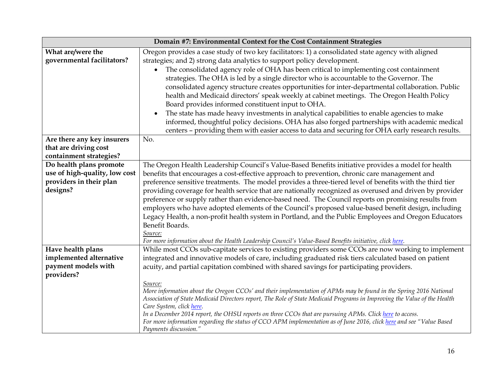| Domain #7: Environmental Context for the Cost Containment Strategies                            |                                                                                                                                                                                                                                                                                                                                                                                                                                                                                                                                                                                                                                                                                                                                                                                                                                                                                                                                         |
|-------------------------------------------------------------------------------------------------|-----------------------------------------------------------------------------------------------------------------------------------------------------------------------------------------------------------------------------------------------------------------------------------------------------------------------------------------------------------------------------------------------------------------------------------------------------------------------------------------------------------------------------------------------------------------------------------------------------------------------------------------------------------------------------------------------------------------------------------------------------------------------------------------------------------------------------------------------------------------------------------------------------------------------------------------|
| What are/were the<br>governmental facilitators?                                                 | Oregon provides a case study of two key facilitators: 1) a consolidated state agency with aligned<br>strategies; and 2) strong data analytics to support policy development.<br>The consolidated agency role of OHA has been critical to implementing cost containment<br>strategies. The OHA is led by a single director who is accountable to the Governor. The<br>consolidated agency structure creates opportunities for inter-departmental collaboration. Public<br>health and Medicaid directors' speak weekly at cabinet meetings. The Oregon Health Policy<br>Board provides informed constituent input to OHA.<br>The state has made heavy investments in analytical capabilities to enable agencies to make<br>$\bullet$<br>informed, thoughtful policy decisions. OHA has also forged partnerships with academic medical<br>centers - providing them with easier access to data and securing for OHA early research results. |
| Are there any key insurers<br>that are driving cost<br>containment strategies?                  | No.                                                                                                                                                                                                                                                                                                                                                                                                                                                                                                                                                                                                                                                                                                                                                                                                                                                                                                                                     |
| Do health plans promote<br>use of high-quality, low cost<br>providers in their plan<br>designs? | The Oregon Health Leadership Council's Value-Based Benefits initiative provides a model for health<br>benefits that encourages a cost-effective approach to prevention, chronic care management and<br>preference sensitive treatments. The model provides a three-tiered level of benefits with the third tier<br>providing coverage for health service that are nationally recognized as overused and driven by provider<br>preference or supply rather than evidence-based need. The Council reports on promising results from<br>employers who have adopted elements of the Council's proposed value-based benefit design, including<br>Legacy Health, a non-profit health system in Portland, and the Public Employees and Oregon Educators<br>Benefit Boards.<br>Source:<br>For more information about the Health Leadership Council's Value-Based Benefits initiative, click here.                                               |
| Have health plans<br>implemented alternative<br>payment models with<br>providers?               | While most CCOs sub-capitate services to existing providers some CCOs are now working to implement<br>integrated and innovative models of care, including graduated risk tiers calculated based on patient<br>acuity, and partial capitation combined with shared savings for participating providers.<br>Source:<br>More information about the Oregon CCOs' and their implementation of APMs may be found in the Spring 2016 National<br>Association of State Medicaid Directors report, The Role of State Medicaid Programs in Improving the Value of the Health<br>Care System, click here.<br>In a December 2014 report, the OHSU reports on three CCOs that are pursuing APMs. Click here to access.<br>For more information regarding the status of CCO APM implementation as of June 2016, click here and see "Value Based<br>Payments discussion."                                                                              |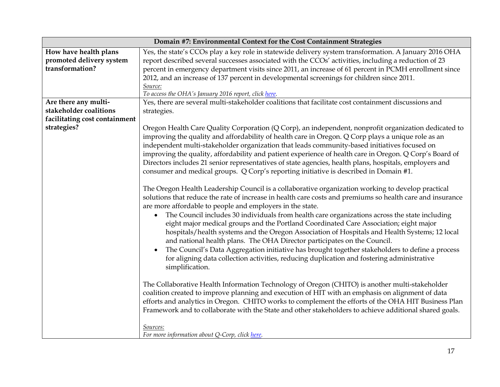| Domain #7: Environmental Context for the Cost Containment Strategies |                                                                                                                                                                                                                                                                                                                                                                                                                                                                                                                                                                                                                                                                 |
|----------------------------------------------------------------------|-----------------------------------------------------------------------------------------------------------------------------------------------------------------------------------------------------------------------------------------------------------------------------------------------------------------------------------------------------------------------------------------------------------------------------------------------------------------------------------------------------------------------------------------------------------------------------------------------------------------------------------------------------------------|
| How have health plans                                                | Yes, the state's CCOs play a key role in statewide delivery system transformation. A January 2016 OHA                                                                                                                                                                                                                                                                                                                                                                                                                                                                                                                                                           |
| promoted delivery system                                             | report described several successes associated with the CCOs' activities, including a reduction of 23                                                                                                                                                                                                                                                                                                                                                                                                                                                                                                                                                            |
| transformation?                                                      | percent in emergency department visits since 2011, an increase of 61 percent in PCMH enrollment since                                                                                                                                                                                                                                                                                                                                                                                                                                                                                                                                                           |
|                                                                      | 2012, and an increase of 137 percent in developmental screenings for children since 2011.                                                                                                                                                                                                                                                                                                                                                                                                                                                                                                                                                                       |
|                                                                      | Source:                                                                                                                                                                                                                                                                                                                                                                                                                                                                                                                                                                                                                                                         |
|                                                                      | To access the OHA's January 2016 report, click here.<br>Yes, there are several multi-stakeholder coalitions that facilitate cost containment discussions and                                                                                                                                                                                                                                                                                                                                                                                                                                                                                                    |
| Are there any multi-<br>stakeholder coalitions                       |                                                                                                                                                                                                                                                                                                                                                                                                                                                                                                                                                                                                                                                                 |
| facilitating cost containment                                        | strategies.                                                                                                                                                                                                                                                                                                                                                                                                                                                                                                                                                                                                                                                     |
| strategies?                                                          |                                                                                                                                                                                                                                                                                                                                                                                                                                                                                                                                                                                                                                                                 |
|                                                                      | Oregon Health Care Quality Corporation (Q Corp), an independent, nonprofit organization dedicated to<br>improving the quality and affordability of health care in Oregon. Q Corp plays a unique role as an<br>independent multi-stakeholder organization that leads community-based initiatives focused on<br>improving the quality, affordability and patient experience of health care in Oregon. Q Corp's Board of<br>Directors includes 21 senior representatives of state agencies, health plans, hospitals, employers and<br>consumer and medical groups. Q Corp's reporting initiative is described in Domain #1.                                        |
|                                                                      | The Oregon Health Leadership Council is a collaborative organization working to develop practical<br>solutions that reduce the rate of increase in health care costs and premiums so health care and insurance<br>are more affordable to people and employers in the state.<br>The Council includes 30 individuals from health care organizations across the state including<br>$\bullet$<br>eight major medical groups and the Portland Coordinated Care Association; eight major<br>hospitals/health systems and the Oregon Association of Hospitals and Health Systems; 12 local<br>and national health plans. The OHA Director participates on the Council. |
|                                                                      | The Council's Data Aggregation initiative has brought together stakeholders to define a process<br>for aligning data collection activities, reducing duplication and fostering administrative<br>simplification.                                                                                                                                                                                                                                                                                                                                                                                                                                                |
|                                                                      | The Collaborative Health Information Technology of Oregon (CHITO) is another multi-stakeholder<br>coalition created to improve planning and execution of HIT with an emphasis on alignment of data<br>efforts and analytics in Oregon. CHITO works to complement the efforts of the OHA HIT Business Plan<br>Framework and to collaborate with the State and other stakeholders to achieve additional shared goals.                                                                                                                                                                                                                                             |
|                                                                      | Sources:<br>For more information about Q-Corp, click here.                                                                                                                                                                                                                                                                                                                                                                                                                                                                                                                                                                                                      |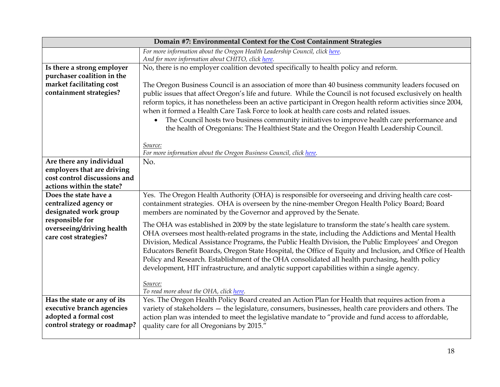| Domain #7: Environmental Context for the Cost Containment Strategies |                                                                                                             |
|----------------------------------------------------------------------|-------------------------------------------------------------------------------------------------------------|
|                                                                      | For more information about the Oregon Health Leadership Council, click here.                                |
|                                                                      | And for more information about CHITO, click here.                                                           |
| Is there a strong employer                                           | No, there is no employer coalition devoted specifically to health policy and reform.                        |
| purchaser coalition in the                                           |                                                                                                             |
| market facilitating cost                                             | The Oregon Business Council is an association of more than 40 business community leaders focused on         |
| containment strategies?                                              | public issues that affect Oregon's life and future. While the Council is not focused exclusively on health  |
|                                                                      | reform topics, it has nonetheless been an active participant in Oregon health reform activities since 2004, |
|                                                                      | when it formed a Health Care Task Force to look at health care costs and related issues.                    |
|                                                                      | The Council hosts two business community initiatives to improve health care performance and                 |
|                                                                      | the health of Oregonians: The Healthiest State and the Oregon Health Leadership Council.                    |
|                                                                      |                                                                                                             |
|                                                                      | Source:                                                                                                     |
|                                                                      | For more information about the Oregon Business Council, click here.                                         |
| Are there any individual                                             | No.                                                                                                         |
| employers that are driving                                           |                                                                                                             |
| cost control discussions and                                         |                                                                                                             |
| actions within the state?                                            |                                                                                                             |
| Does the state have a                                                | Yes. The Oregon Health Authority (OHA) is responsible for overseeing and driving health care cost-          |
| centralized agency or                                                | containment strategies. OHA is overseen by the nine-member Oregon Health Policy Board; Board                |
| designated work group                                                | members are nominated by the Governor and approved by the Senate.                                           |
| responsible for                                                      | The OHA was established in 2009 by the state legislature to transform the state's health care system.       |
| overseeing/driving health                                            | OHA oversees most health-related programs in the state, including the Addictions and Mental Health          |
| care cost strategies?                                                |                                                                                                             |
|                                                                      | Division, Medical Assistance Programs, the Public Health Division, the Public Employees' and Oregon         |
|                                                                      | Educators Benefit Boards, Oregon State Hospital, the Office of Equity and Inclusion, and Office of Health   |
|                                                                      | Policy and Research. Establishment of the OHA consolidated all health purchasing, health policy             |
|                                                                      | development, HIT infrastructure, and analytic support capabilities within a single agency.                  |
|                                                                      | Source:                                                                                                     |
|                                                                      | To read more about the OHA, click here.                                                                     |
| Has the state or any of its                                          | Yes. The Oregon Health Policy Board created an Action Plan for Health that requires action from a           |
| executive branch agencies                                            | variety of stakeholders - the legislature, consumers, businesses, health care providers and others. The     |
| adopted a formal cost                                                | action plan was intended to meet the legislative mandate to "provide and fund access to affordable,         |
| control strategy or roadmap?                                         | quality care for all Oregonians by 2015."                                                                   |
|                                                                      |                                                                                                             |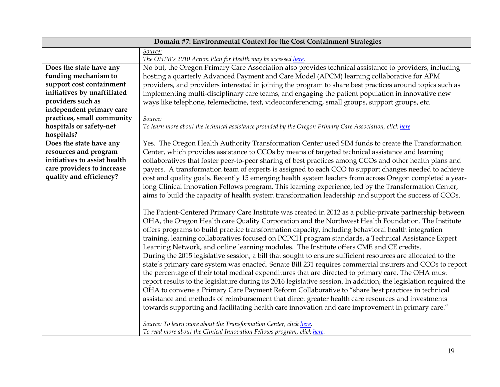| Domain #7: Environmental Context for the Cost Containment Strategies |                                                                                                                  |  |
|----------------------------------------------------------------------|------------------------------------------------------------------------------------------------------------------|--|
|                                                                      | Source:                                                                                                          |  |
|                                                                      | The OHPB's 2010 Action Plan for Health may be accessed here.                                                     |  |
| Does the state have any                                              | No but, the Oregon Primary Care Association also provides technical assistance to providers, including           |  |
| funding mechanism to                                                 | hosting a quarterly Advanced Payment and Care Model (APCM) learning collaborative for APM                        |  |
| support cost containment                                             | providers, and providers interested in joining the program to share best practices around topics such as         |  |
| initiatives by unaffiliated                                          | implementing multi-disciplinary care teams, and engaging the patient population in innovative new                |  |
| providers such as                                                    | ways like telephone, telemedicine, text, videoconferencing, small groups, support groups, etc.                   |  |
| independent primary care                                             |                                                                                                                  |  |
| practices, small community                                           | Source:                                                                                                          |  |
| hospitals or safety-net                                              | To learn more about the technical assistance provided by the Oregon Primary Care Association, click here.        |  |
| hospitals?                                                           |                                                                                                                  |  |
| Does the state have any                                              | Yes. The Oregon Health Authority Transformation Center used SIM funds to create the Transformation               |  |
| resources and program                                                | Center, which provides assistance to CCOs by means of targeted technical assistance and learning                 |  |
| initiatives to assist health                                         | collaboratives that foster peer-to-peer sharing of best practices among CCOs and other health plans and          |  |
| care providers to increase                                           | payers. A transformation team of experts is assigned to each CCO to support changes needed to achieve            |  |
| quality and efficiency?                                              | cost and quality goals. Recently 15 emerging health system leaders from across Oregon completed a year-          |  |
|                                                                      | long Clinical Innovation Fellows program. This learning experience, led by the Transformation Center,            |  |
|                                                                      | aims to build the capacity of health system transformation leadership and support the success of CCOs.           |  |
|                                                                      |                                                                                                                  |  |
|                                                                      | The Patient-Centered Primary Care Institute was created in 2012 as a public-private partnership between          |  |
|                                                                      | OHA, the Oregon Health care Quality Corporation and the Northwest Health Foundation. The Institute               |  |
|                                                                      | offers programs to build practice transformation capacity, including behavioral health integration               |  |
|                                                                      |                                                                                                                  |  |
|                                                                      | training, learning collaboratives focused on PCPCH program standards, a Technical Assistance Expert              |  |
|                                                                      | Learning Network, and online learning modules. The Institute offers CME and CE credits.                          |  |
|                                                                      | During the 2015 legislative session, a bill that sought to ensure sufficient resources are allocated to the      |  |
|                                                                      | state's primary care system was enacted. Senate Bill 231 requires commercial insurers and CCOs to report         |  |
|                                                                      | the percentage of their total medical expenditures that are directed to primary care. The OHA must               |  |
|                                                                      | report results to the legislature during its 2016 legislative session. In addition, the legislation required the |  |
|                                                                      | OHA to convene a Primary Care Payment Reform Collaborative to "share best practices in technical                 |  |
|                                                                      | assistance and methods of reimbursement that direct greater health care resources and investments                |  |
|                                                                      | towards supporting and facilitating health care innovation and care improvement in primary care."                |  |
|                                                                      | Source: To learn more about the Transformation Center, click here.                                               |  |
|                                                                      | To read more about the Clinical Innovation Fellows program, click here.                                          |  |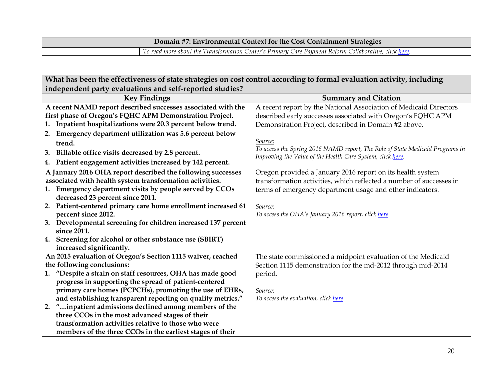| <b>Domain #7: Environmental Context for the Cost Containment Strategies</b> |                                                                                                       |  |
|-----------------------------------------------------------------------------|-------------------------------------------------------------------------------------------------------|--|
|                                                                             | To read more about the Transformation Center's Primary Care Payment Reform Collaborative, click here. |  |

| What has been the effectiveness of state strategies on cost control according to formal evaluation activity, including |                                                                               |  |  |  |
|------------------------------------------------------------------------------------------------------------------------|-------------------------------------------------------------------------------|--|--|--|
| independent party evaluations and self-reported studies?                                                               |                                                                               |  |  |  |
| <b>Key Findings</b>                                                                                                    | <b>Summary and Citation</b>                                                   |  |  |  |
| A recent NAMD report described successes associated with the                                                           | A recent report by the National Association of Medicaid Directors             |  |  |  |
| first phase of Oregon's FQHC APM Demonstration Project.                                                                | described early successes associated with Oregon's FQHC APM                   |  |  |  |
| Inpatient hospitalizations were 20.3 percent below trend.                                                              | Demonstration Project, described in Domain #2 above.                          |  |  |  |
| 2. Emergency department utilization was 5.6 percent below                                                              |                                                                               |  |  |  |
| trend.                                                                                                                 | Source:                                                                       |  |  |  |
| 3. Billable office visits decreased by 2.8 percent.                                                                    | To access the Spring 2016 NAMD report, The Role of State Medicaid Programs in |  |  |  |
| 4. Patient engagement activities increased by 142 percent.                                                             | Improving the Value of the Health Care System, click here.                    |  |  |  |
| A January 2016 OHA report described the following successes                                                            | Oregon provided a January 2016 report on its health system                    |  |  |  |
| associated with health system transformation activities.                                                               | transformation activities, which reflected a number of successes in           |  |  |  |
| 1. Emergency department visits by people served by CCOs                                                                | terms of emergency department usage and other indicators.                     |  |  |  |
| decreased 23 percent since 2011.                                                                                       |                                                                               |  |  |  |
| Patient-centered primary care home enrollment increased 61<br>2.                                                       | Source:                                                                       |  |  |  |
| percent since 2012.                                                                                                    | To access the OHA's January 2016 report, click here.                          |  |  |  |
| 3. Developmental screening for children increased 137 percent                                                          |                                                                               |  |  |  |
| since 2011.                                                                                                            |                                                                               |  |  |  |
| Screening for alcohol or other substance use (SBIRT)<br>4.                                                             |                                                                               |  |  |  |
| increased significantly.                                                                                               |                                                                               |  |  |  |
| An 2015 evaluation of Oregon's Section 1115 waiver, reached                                                            | The state commissioned a midpoint evaluation of the Medicaid                  |  |  |  |
| the following conclusions:                                                                                             | Section 1115 demonstration for the md-2012 through mid-2014                   |  |  |  |
| "Despite a strain on staff resources, OHA has made good<br>1.                                                          | period.                                                                       |  |  |  |
| progress in supporting the spread of patient-centered                                                                  |                                                                               |  |  |  |
| primary care homes (PCPCHs), promoting the use of EHRs,                                                                | Source:                                                                       |  |  |  |
| and establishing transparent reporting on quality metrics."                                                            | To access the evaluation, click here.                                         |  |  |  |
| "inpatient admissions declined among members of the<br>2.                                                              |                                                                               |  |  |  |
| three CCOs in the most advanced stages of their                                                                        |                                                                               |  |  |  |
| transformation activities relative to those who were                                                                   |                                                                               |  |  |  |
| members of the three CCOs in the earliest stages of their                                                              |                                                                               |  |  |  |